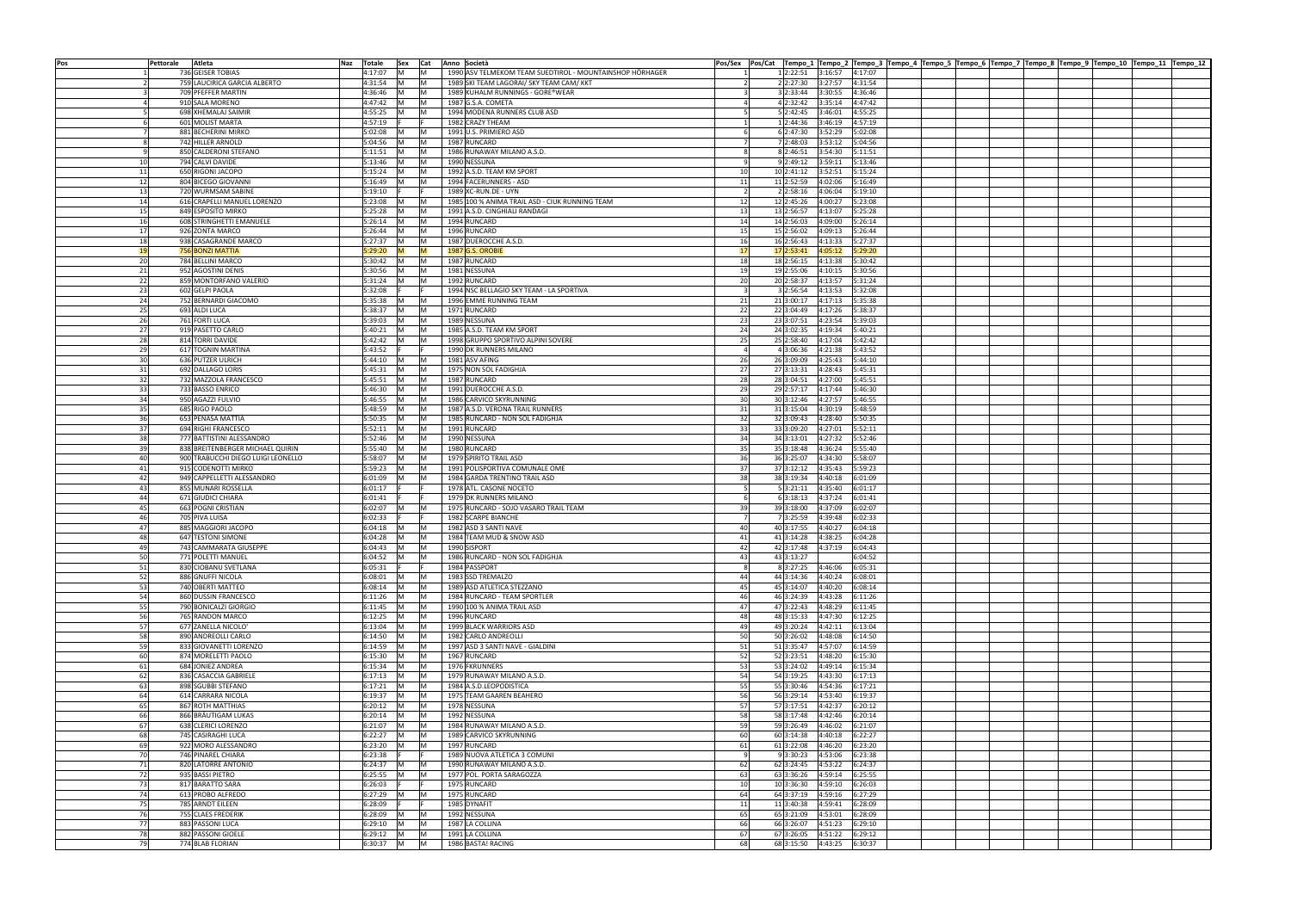| Pos      | Pettorale | Atleta                                        | Naz Totale         | Sex Cat        |            | Anno Società                                                    |                                                 |                    | Pos/Sex  Pos/Cat  Tempo_1  Tempo_2  Tempo_3  Tempo_4  Tempo_5  Tempo_6  Tempo_7  Tempo_8  Tempo_9  Tempo_10  Tempo_11  Tempo_12  Tempo_12 |  |  |  |
|----------|-----------|-----------------------------------------------|--------------------|----------------|------------|-----------------------------------------------------------------|-------------------------------------------------|--------------------|-------------------------------------------------------------------------------------------------------------------------------------------|--|--|--|
|          |           | 736 GEISER TOBIAS                             | 4:17:07            | IM.            |            | 1990 ASV TELMEKOM TEAM SUEDTIROL - MOUNTAINSHOP HÖRHAGER        | 1 2:22:51                                       | 3:16:57            | 4:17:07                                                                                                                                   |  |  |  |
|          |           | 759 LAUCIRICA GARCIA ALBERTO                  | 4:31:54            |                |            | 1989 SKI TEAM LAGORAI/ SKY TEAM CAM/ KKT                        | 2 2:27:30                                       | 3:27:57            | 4:31:54                                                                                                                                   |  |  |  |
|          |           | 709 PFEFFER MARTIN<br>910 SALA MORENO         | 4:36:46<br>4:47:42 |                | IM.        | 1989 KUHALM RUNNINGS - GORE®WEAR<br>1987 G.S.A. COMETA          | 3 2:33:44<br>$\mathbf{R}$<br>4 2:32:42          | 3:30:55<br>3:35:14 | 4:36:46<br>4:47:42                                                                                                                        |  |  |  |
|          |           | 698 XHEMALAJ SAIMIR                           | 4:55:25            |                |            | 1994 MODENA RUNNERS CLUB ASD                                    | 5 2:42:45                                       | 3:46:01            | 4:55:25                                                                                                                                   |  |  |  |
|          |           | 601 MOLIST MARTA                              | 4:57:19            |                |            | 1982 CRAZY THEAM                                                | 1 2:44:36                                       | 3:46:19            | 4:57:19                                                                                                                                   |  |  |  |
|          |           | 881 BECHERINI MIRKO                           | 5:02:08            |                |            | 1991 U.S. PRIMIERO ASD                                          | 6 2:47:30                                       | 3:52:29            | 5:02:08                                                                                                                                   |  |  |  |
|          |           | 742 HILLER ARNOLD                             | 5:04:56            | M              |            | 1987 RUNCARD                                                    | 7 2:48:03                                       | 3:53:12            | 5:04:56                                                                                                                                   |  |  |  |
|          |           | 850 CALDERONI STEFANO                         | 5:11:51            | <b>IM</b>      | IM.        | 1986 RUNAWAY MILANO A.S.D.                                      | 8 2:46:51<br>-8                                 | 3:54:30            | 5:11:51                                                                                                                                   |  |  |  |
| 10       |           | 794 CALVI DAVIDE                              | 5:13:46            | IM.            | IM         | 1990 NESSUNA                                                    | 9 2:49:12<br>-9                                 | 3:59:11            | 5:13:46                                                                                                                                   |  |  |  |
| 11       |           | 650 RIGONI JACOPO                             | 5:15:24            | IM.            | IM         | 1992 A.S.D. TEAM KM SPORT                                       | 10<br>10 2:41:12                                | 3:52:51            | 5:15:24                                                                                                                                   |  |  |  |
| 12<br>13 |           | 804 BICEGO GIOVANNI<br>720 WURMSAM SABINE     | 5:16:49<br>5:19:10 | IM.            | IM.        | 1994 FACERUNNERS - ASD<br>1989 XC-RUN.DE - UYN                  | 11<br>11 2:52:59<br>$\overline{2}$<br>2 2:58:16 | 4:02:06<br>4:06:04 | 5:16:49<br>5:19:10                                                                                                                        |  |  |  |
| 14       |           | 616 CRAPELLI MANUEL LORENZO                   | 5:23:08            |                |            | 1985 100 % ANIMA TRAIL ASD - CIUK RUNNING TEAM                  | 12<br>12 2:45:26                                | 4:00:27            | 5:23:08                                                                                                                                   |  |  |  |
| 15       |           | 849 ESPOSITO MIRKO                            | 5:25:28            |                | IM.        | 1991 A.S.D. CINGHIALI RANDAGI                                   | 13<br>13 2:56:57                                | 4:13:07            | 5:25:28                                                                                                                                   |  |  |  |
| 16       |           | 608 STRINGHETTI EMANUELE                      | 5:26:14            | IM.            | IM.        | 1994 RUNCARD                                                    | 14<br>14 2:56:03                                | 4:09:00            | 5:26:14                                                                                                                                   |  |  |  |
| 17       |           | 926 ZONTA MARCO                               | 5:26:44            | IM             | IM.        | 1996 RUNCARD                                                    | 15 2:56:02<br>15                                | 4:09:13            | 5:26:44                                                                                                                                   |  |  |  |
| 18       |           | 938 CASAGRANDE MARCO                          | 5:27:37            | IM.            | IM.        | 1987 DUEROCCHE A.S.D.                                           | 16<br>16 2:56:43                                | 4:13:33            | 5:27:37                                                                                                                                   |  |  |  |
| 19       |           | 756 BONZI MATTIA                              | 5:29:20            | M              | <b>IM</b>  | 1987 G.S. OROBIE                                                | 17<br>17 2:53:41                                | 4:05:12            | 5:29:20                                                                                                                                   |  |  |  |
| 20<br>21 |           | 784 BELLINI MARCO<br>952 AGOSTINI DENIS       | 5:30:42<br>5:30:56 | IM.<br>IM.     | IM.<br>M   | 1987 RUNCARD<br>1981 NESSUNA                                    | 18<br>18 2:56:15<br>19<br>19 2:55:06            | 4:13:38<br>4:10:15 | 5:30:42<br>5:30:56                                                                                                                        |  |  |  |
| 22       |           | 859 MONTORFANO VALERIO                        | 5:31:24            | IM.            | <b>M</b>   | 1992 RUNCARD                                                    | 20<br>20 2:58:37                                | 4:13:57            | 5:31:24                                                                                                                                   |  |  |  |
| 23       |           | 602 GELPI PAOLA                               | 5:32:08            |                |            | 1994 NSC BELLAGIO SKY TEAM - LA SPORTIVA                        | 3 2:56:54<br>$\overline{\mathbf{3}}$            | 4:13:53            | 5:32:08                                                                                                                                   |  |  |  |
| 24       |           | 752 BERNARDI GIACOMO                          | 5:35:38            | <b>IM</b>      | IM.        | 1996 EMME RUNNING TEAM                                          | 21<br>21 3:00:17                                | 4:17:13            | 5:35:38                                                                                                                                   |  |  |  |
| 25       |           | 693 ALDI LUCA                                 | 5:38:37            | IM.            | IM.        | 1971 RUNCARD                                                    | 22<br>22 3:04:49                                | 4:17:26            | 5:38:37                                                                                                                                   |  |  |  |
| 26       |           | 761 FORTI LUCA                                | 5:39:03            | IM.            | IM.        | 1989 NESSUNA                                                    | 23<br>23 3:07:51                                | 4:23:54            | 5:39:03                                                                                                                                   |  |  |  |
| 27       |           | 919 PASETTO CARLO                             | 5:40:21            | IM.            | IM.        | 1985 A.S.D. TEAM KM SPORT                                       | 24<br>24 3:02:35                                | 4:19:34            | 5:40:21                                                                                                                                   |  |  |  |
| 28<br>29 |           | 814 TORRI DAVIDE<br>617 TOGNIN MARTINA        | 5:42:42<br>5:43:52 | IM.            |            | 1998 GRUPPO SPORTIVO ALPINI SOVERE<br>1990 DK RUNNERS MILANO    | 25<br>25 2:58:40<br>4 3:06:36<br>$\overline{4}$ | 4:17:04<br>4:21:38 | 5:42:42<br>5:43:52                                                                                                                        |  |  |  |
| 30       |           | 636 PUTZER ULRICH                             | 5:44:10            | IM.            |            | 1981 ASV AFING                                                  | 26<br>26 3:09:09                                | 4:25:43            | 5:44:10                                                                                                                                   |  |  |  |
| 31       |           | 692 DALLAGO LORIS                             | 5:45:31            | M              |            | 1975 NON SOL FADIGHJA                                           | 27<br>27 3:13:31                                | 4:28:43            | 5:45:31                                                                                                                                   |  |  |  |
| 32       |           | 732 MAZZOLA FRANCESCO                         | 5:45:51            | M              | IM         | 1987 RUNCARD                                                    | 28<br>28 3:04:51                                | 4:27:00            | 5:45:51                                                                                                                                   |  |  |  |
| 33       |           | 733 BASSO ENRICO                              | 5:46:30            | IM.            | IM.        | 1991 DUEROCCHE A.S.D.                                           | 29<br>29 2:57:17                                | 4:17:44            | 5:46:30                                                                                                                                   |  |  |  |
| 34       |           | 950 AGAZZI FULVIO                             | 5:46:55            | IM.            | IM         | 1986 CARVICO SKYRUNNING                                         | 30 <sup>1</sup><br>30 3:12:46                   | 4:27:57            | 5:46:55                                                                                                                                   |  |  |  |
| 35       |           | 685 RIGO PAOLO                                | 5:48:59            | IM.            | IM<br>IM   | 1987 A.S.D. VERONA TRAIL RUNNERS                                | 31<br>31 3:15:04                                | 4:30:19            | 5:48:59                                                                                                                                   |  |  |  |
| 36<br>37 |           | 653 PENASA MATTIA<br>694 RIGHI FRANCESCO      | 5:50:35<br>5:52:11 | IM.<br>M       | IM.        | 1985 RUNCARD - NON SOL FADIGHJA<br>1991 RUNCARD                 | 32<br>32 3:09:43<br>33<br>33 3:09:20            | 4:28:40<br>4:27:01 | 5:50:35<br>5:52:11                                                                                                                        |  |  |  |
| 38       |           | 777 BATTISTINI ALESSANDRO                     | 5:52:46            |                | IM.        | 1990 NESSUNA                                                    | 34<br>34 3:13:01                                | 4:27:32            | 5:52:46                                                                                                                                   |  |  |  |
| 39       |           | 838 BREITENBERGER MICHAEL QUIRIN              | 5:55:40            | IM.            |            | 1980 RUNCARD                                                    | 35<br>35 3:18:48                                | 4:36:24            | 5:55:40                                                                                                                                   |  |  |  |
| 40       |           | 900 TRABUCCHI DIEGO LUIGI LEONELLO            | 5:58:07            |                |            | 1979 SPIRITO TRAIL ASD                                          | 36<br>36 3:25:07                                | 4:34:30            | 5:58:07                                                                                                                                   |  |  |  |
| 41       |           | 915 CODENOTTI MIRKO                           | 5:59:23            |                |            | 1991 POLISPORTIVA COMUNALE OME                                  | 37<br>37 3:12:12                                | 4:35:43            | 5:59:23                                                                                                                                   |  |  |  |
| 42       |           | 949 CAPPELLETTI ALESSANDRO                    | 6:01:09            |                |            | 1984 GARDA TRENTINO TRAIL ASD                                   | 38<br>38 3:19:34                                | 4:40:18            | 6:01:09                                                                                                                                   |  |  |  |
| 43<br>44 |           | 855 MUNARI ROSSELLA                           | 6:01:17            |                |            | 1978 ATL. CASONE NOCETO                                         | 5 3:21:11<br>6                                  | 4:35:40            | 6:01:17                                                                                                                                   |  |  |  |
| 45       |           | 671 GIUDICI CHIARA<br>663 POGNI CRISTIAN      | 6:01:41<br>6:02:07 | IM.            |            | 1979 DK RUNNERS MILANO<br>1975 RUNCARD - SOJO VASARO TRAIL TEAM | 63:18:13<br>39<br>39 3:18:00                    | 4:37:24<br>4:37:09 | 6:01:41<br>6:02:07                                                                                                                        |  |  |  |
| 46       |           | 705 PIVA LUISA                                | 6:02:33            |                |            | 1982 SCARPE BIANCHE                                             | 7 3:25:59<br>$\overline{7}$                     | 4:39:48            | 6:02:33                                                                                                                                   |  |  |  |
| 47       |           | 885 MAGGIORI JACOPO                           | 6:04:18            | IM.            | M          | 1982 ASD 3 SANTI NAVE                                           | 40<br>40 3:17:55                                | 4:40:27            | 6:04:18                                                                                                                                   |  |  |  |
| 48       |           | 647 TESTONI SIMONE                            | 6:04:28            | <b>M</b>       | M          | 1984 TEAM MUD & SNOW ASD                                        | 41<br>41 3:14:28                                | 4:38:25            | 6:04:28                                                                                                                                   |  |  |  |
| 49       |           | 743 CAMMARATA GIUSEPPE                        | 6:04:43 M          |                | IM.        | 1990 SISPORT                                                    | 42<br>42 3:17:48 4:37:19 6:04:43                |                    |                                                                                                                                           |  |  |  |
| 50       |           | 771 POLETTI MANUEL                            | 6:04:52 M          |                | IM.        | 1986 RUNCARD - NON SOL FADIGHJA                                 | 43<br>43 3:13:27                                |                    | 6:04:52                                                                                                                                   |  |  |  |
| 51<br>52 |           | 830 CIOBANU SVETLANA<br>886 GNUFFI NICOLA     | 6:05:31<br>6:08:01 | M              |            | 1984 PASSPORT<br>1983 SSD TREMALZO                              | $\mathbf{R}$<br>8 3:27:25<br>44<br>44 3:14:36   | 4:46:06<br>4:40:24 | 6:05:31<br>6:08:01                                                                                                                        |  |  |  |
| 53       |           | 740 OBERTI MATTEO                             | 6:08:14            | IM.            | IM.        | 1989 ASD ATLETICA STEZZANO                                      | 45<br>45 3:14:07                                | 4:40:20            | 6:08:14                                                                                                                                   |  |  |  |
| 54       |           | 860 DUSSIN FRANCESCO                          | 6:11:26            | IM.            |            | 1984 RUNCARD - TEAM SPORTLER                                    | 46<br>46 3:24:39                                | 4:43:28            | 6:11:26                                                                                                                                   |  |  |  |
| 55       |           | 790 BONICALZI GIORGIO                         | 6:11:45            | IM.            | IM.        | 1990 100 % ANIMA TRAIL ASD                                      | 47<br>47 3:22:43                                | 4:48:29            | 6:11:45                                                                                                                                   |  |  |  |
| 56       |           | 765 RANDON MARCO                              | 6:12:25            | M              | IM         | 1996 RUNCARD                                                    | 48<br>48 3:15:33                                | 4:47:30            | 6:12:25                                                                                                                                   |  |  |  |
| 57       |           | 677 ZANELLA NICOLO'                           | 6:13:04            | IM.            | IM         | 1999 BLACK WARRIORS ASD                                         | 49<br>49 3:20:24                                | 4:42:11            | 6:13:04                                                                                                                                   |  |  |  |
| 58<br>59 |           | 890 ANDREOLLI CARLO<br>833 GIOVANETTI LORENZO | 6:14:50<br>6:14:59 | M<br><b>IM</b> | IM.<br>IM. | 1982 CARLO ANDREOLLI<br>1997 ASD 3 SANTI NAVE - GIALDINI        | 50<br>50 3:26:02<br>51<br>51 3:35:47            | 4:48:08<br>4:57:07 | 6:14:50<br>6:14:59                                                                                                                        |  |  |  |
| 60       |           | 874 MORELETTI PAOLO                           | 6:15:30            | M              | IM.        | 1967 RUNCARD                                                    | 52<br>52 3:23:51                                | 4:48:20            | 6:15:30                                                                                                                                   |  |  |  |
| 61       |           | 684 JONIEZ ANDREA                             | 6:15:34            | IM.            | IM.        | 1976 FKRUNNERS                                                  | 53<br>53 3:24:02                                | 4:49:14            | 6:15:34                                                                                                                                   |  |  |  |
| 62       |           | 836 CASACCIA GABRIELE                         | 6:17:13            | IM.            | IM.        | 1979 RUNAWAY MILANO A.S.D.                                      | 54<br>54 3:19:25                                | 4:43:30            | 6:17:13                                                                                                                                   |  |  |  |
| 63       |           | 898 SGUBBI STEFANO                            | 6:17:21            | IM.            | IM.        | 1984 A.S.D.LEOPODISTICA                                         | 55<br>55 3:30:46                                | 4:54:36            | 6:17:21                                                                                                                                   |  |  |  |
| 64       |           | 614 CARRARA NICOLA                            | 6:19:37            | IM.            | IM.        | 1975 TEAM GAAREN BEAHERO                                        | 56<br>56 3:29:14                                | 4:53:40            | 6:19:37                                                                                                                                   |  |  |  |
| 65       |           | 867 ROTH MATTHIAS                             | 6:20:12            | -IM            | IM.        | 1978 NESSUNA                                                    | 57<br>57 3:17:51                                | 4:42:37            | 6:20:12                                                                                                                                   |  |  |  |
| 66<br>67 |           | 866 BRÄUTIGAM LUKAS<br>638 CLERICI LORENZO    | 6:20:14<br>6:21:07 | IM.<br>M       | IM.<br>IM. | 1992 NESSUNA<br>1984 RUNAWAY MILANO A.S.D.                      | 58<br>58 3:17:48<br>59<br>59 3:26:49            | 4:42:46<br>4:46:02 | 6:20:14<br>6:21:07                                                                                                                        |  |  |  |
| 68       |           | 745 CASIRAGHI LUCA                            | 6:22:27            | M              | M          | 1989 CARVICO SKYRUNNING                                         | 60<br>60 3:14:38                                | 4:40:18            | 6:22:27                                                                                                                                   |  |  |  |
| 69       |           | 922 MORO ALESSANDRO                           | 6:23:20            | IM.            | M          | 1997 RUNCARD                                                    | 61<br>61 3:22:08                                | 4:46:20            | 6:23:20                                                                                                                                   |  |  |  |
| 70       |           | 746 PINAREL CHIARA                            | 6:23:38            |                |            | 1989 NUOVA ATLETICA 3 COMUNI                                    | 9 3:30:23<br>- 9                                | 4:53:06            | 6:23:38                                                                                                                                   |  |  |  |
| 71       |           | 820 LATORRE ANTONIO                           | 6:24:37            | M              | IM.        | 1990 RUNAWAY MILANO A.S.D.                                      | 62<br>62 3:24:45                                | 4:53:22            | 6:24:37                                                                                                                                   |  |  |  |
| 72       |           | 935 BASSI PIETRO                              | 6:25:55            | <b>M</b>       | M          | 1977 POL. PORTA SARAGOZZA                                       | 63<br>63 3:36:26                                | 4:59:14            | 6:25:55                                                                                                                                   |  |  |  |
| 73<br>74 |           | 817 BARATTO SARA<br>613 PROBO ALFREDO         | 6:26:03<br>6:27:29 | <b>IM</b>      | M          | 1975 RUNCARD<br>1975 RUNCARD                                    | 10<br>10 3:36:30<br>64<br>64 3:37:19            | 4:59:10<br>4:59:16 | 6:26:03<br>6:27:29                                                                                                                        |  |  |  |
| 75       |           | 785 ARNDT EILEEN                              | 6:28:09            |                |            | 1985 DYNAFIT                                                    | 11<br>11 3:40:38                                | 4:59:41            | 6:28:09                                                                                                                                   |  |  |  |
| 76       |           | 755 CLAES FREDERIK                            | 6:28:09            | IM.            | IM.        | 1992 NESSUNA                                                    | 65<br>65 3:21:09                                | 4:53:01            | 6:28:09                                                                                                                                   |  |  |  |
| 77       |           | 883 PASSONI LUCA                              | 6:29:10            | IM.            | IM.        | 1987 LA COLLINA                                                 | 66<br>66 3:26:07                                | 4:51:23            | 6:29:10                                                                                                                                   |  |  |  |
| 78       |           | 882 PASSONI GIOELE                            | 6:29:12            |                | IM.        | 1991 LA COLLINA                                                 | 67<br>67 3:26:05                                | 4:51:22            | 6:29:12                                                                                                                                   |  |  |  |
| 79       |           | 774 BLAB FLORIAN                              | 6:30:37 M          |                | M          | 1986 BASTA! RACING                                              | 68<br>68 3:15:50                                | 4:43:25            | 6:30:37                                                                                                                                   |  |  |  |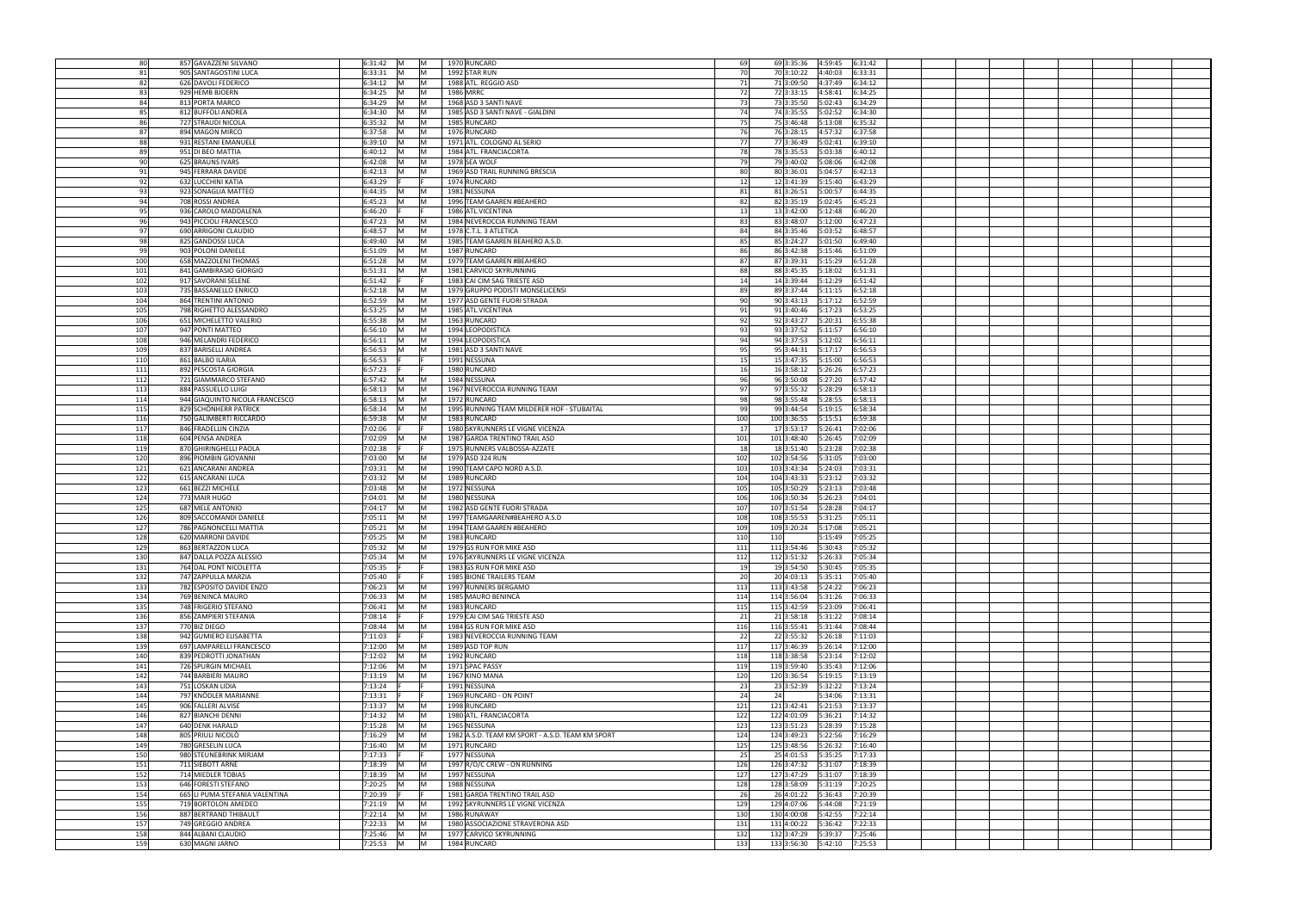| 80         | 857 GAVAZZENI SILVANO                 | 6:31:42              | <b>IM</b><br>$\mathsf{M}$ | 1970 RUNCARD                                     | 69         | 4:59:45<br>69 3:35:36<br>6:31:42            |  |
|------------|---------------------------------------|----------------------|---------------------------|--------------------------------------------------|------------|---------------------------------------------|--|
| 81         | 905 SANTAGOSTINI LUCA                 | 6:33:31              | <b>IM</b><br>IM.          | 1992 STAR RUN                                    | 70         | 70 3:10:22 4:40:03<br>6:33:31               |  |
|            |                                       |                      |                           |                                                  |            |                                             |  |
| 82         | 626 DAVOLI FEDERICO                   | 6:34:12              | M<br> M                   | 1988 ATL. REGGIO ASD                             | 71         | 71 3:09:50<br>6:34:12<br>4:37:49            |  |
| 83         | 929 HEMB BJOERN                       | 6:34:25              | M<br>M                    | 1986 MRRC                                        | 72         | 72 3:33:15<br>4:58:41<br>6:34:25            |  |
| 84         | 813 PORTA MARCO                       | 6:34:29              | M<br>M                    | 1968 ASD 3 SANTI NAVE                            | 73         | 73 3:35:50<br>5:02:43<br>6:34:29            |  |
| 85         | 812 BUFFOLI ANDREA                    | 6:34:30              | <b>IM</b><br>IM.          | 1985 ASD 3 SANTI NAVE - GIALDINI                 | 74         | 74 3:35:55<br>6:34:30<br>5:02:52            |  |
| 86         | 727 STRAUDI NICOLA                    | 6:35:32              | M<br>M                    | 1985 RUNCARD                                     | 75         | 75 3:46:48<br>5:13:08<br>6:35:32            |  |
| 87         | 894 MAGON MIRCO                       | 6:37:58              | <b>IM</b><br>IM.          | 1976 RUNCARD                                     | 76         | 6:37:58<br>76 3:28:15<br>4:57:32            |  |
|            |                                       |                      |                           |                                                  |            |                                             |  |
| 88         | 931 RESTANI EMANUELE                  | 6:39:10              | <b>IM</b><br>IM.          | 1971 ATL. COLOGNO AL SERIO                       | 77         | 77 3:36:49<br>6:39:10<br>5:02:41            |  |
| 89         | 951 DI BEO MATTIA                     | 6:40:12              | <b>IM</b><br>IM.          | 1984 ATL. FRANCIACORTA                           | 78         | 78 3:35:53<br>6:40:12<br>5:03:38            |  |
| 90         | 625 BRAUNS IVARS                      | 6:42:08              | <b>IM</b>                 | 1978 SEA WOLF                                    | 79         | 79 3:40:02<br>6:42:08<br>5:08:06            |  |
| 91         | 945 FERRARA DAVIDE                    | 6:42:13              | <b>IM</b>                 | 1969 ASD TRAIL RUNNING BRESCIA                   | 80         | 80 3:36:01<br>6:42:13<br>5:04:57            |  |
| 92         | 632 LUCCHINI KATIA                    | 6:43:29              |                           | 1974 RUNCARD                                     | 12         | 12 3:41:39<br>6:43:29<br>5:15:40            |  |
| 93         | 923 SONAGLIA MATTEO                   | 6:44:35              | lM.                       | 1981 NESSUNA                                     | 81         | 81 3:26:51<br>6:44:35<br>5:00:57            |  |
| 94         | 708 ROSSI ANDREA                      | 6:45:23              |                           | 1996 TEAM GAAREN #BEAHERO                        | 82         | 82 3:35:19<br>5:02:45<br>6:45:23            |  |
|            |                                       |                      |                           |                                                  |            |                                             |  |
| 95         | 936 CAROLO MADDALENA                  | 6:46:20              |                           | 1986 ATL.VICENTINA                               | 13         | 13 3:42:00<br>6:46:20<br>5:12:48            |  |
| 96         | 943 PICCIOLI FRANCESCO                | 6:47:23              | IM.                       | 1984 NEVEROCCIA RUNNING TEAM                     | 83         | 83 3:48:07<br>6:47:23<br>5:12:00            |  |
| 97         | 690 ARRIGONI CLAUDIO                  | 6:48:57              | IM.                       | 1978 C.T.L. 3 ATLETICA                           | 84         | 84 3:35:46<br>5:03:52<br>6:48:57            |  |
| 98         | 825 GANDOSSI LUCA                     | 6:49:40              | M<br>IM.                  | 1985 TEAM GAAREN BEAHERO A.S.D.                  | 85         | 6:49:40<br>85 3:24:27<br>5:01:50            |  |
| 99         | 903 POLONI DANIELE                    | 6:51:09              | IM.<br>ΙM                 | 1987 RUNCARD                                     | 86         | 86 3:42:38<br>5:15:46<br>6:51:09            |  |
| 100        | 658 MAZZOLENI THOMAS                  | 6:51:28              | <b>IM</b><br>IM           | 1979 TEAM GAAREN #BEAHERO                        | 87         | 87 3:39:31<br>5:15:29<br>6:51:28            |  |
| 101        | 841 GAMBIRASIO GIORGIO                | 6:51:31              | IM.                       | 1981 CARVICO SKYRUNNING                          | 88         | 6:51:31<br>88 3:45:35<br>5:18:02            |  |
| 102        | 917 SAVORANI SELENE                   | 6:51:42              |                           | 1983 CAI CIM SAG TRIESTE ASD                     | 14         | 14 3:39:44<br>5:12:29<br>6:51:42            |  |
| 103        | 735 BASSANELLO ENRICO                 | 6:52:18              | lM.                       | 1979 GRUPPO PODISTI MONSELICENSI                 | 89         | 5:11:15<br>6:52:18<br>89 3:37:44            |  |
| 104        | 864 TRENTINI ANTONIO                  | 6:52:59              | <b>IM</b><br>IM.          | 1977 ASD GENTE FUORI STRADA                      | 90         | 6:52:59<br>90 3:43:13<br>5:17:12            |  |
| 105        | 798 RIGHETTO ALESSANDRO               | 6:53:25              | <b>IM</b><br>ΙM           | 1985 ATL VICENTINA                               | 91         | 6:53:25<br>91 3:40:46<br>5:17:23            |  |
| 106        |                                       | 6:55:38              | <b>IM</b><br>ΙM           |                                                  | 92         | 92 3:43:27<br>6:55:38                       |  |
|            | 651 MICHELETTO VALERIO                |                      |                           | 1963 RUNCARD                                     |            | 5:20:31                                     |  |
| 107        | 947 PONTI MATTEO                      | 6:56:10              | M<br>ΙM                   | 1994 LEOPODISTICA                                | 93         | 93 3:37:52<br>6:56:10<br>5:11:57            |  |
| 108        | 946 MELANDRI FEDERICO                 | 6:56:11              | <b>IM</b><br><b>M</b>     | 1994 LEOPODISTICA                                | 94         | 6:56:11<br>94 3:37:53 5:12:02               |  |
| 109        | 837 BARISELLI ANDREA                  | 6:56:53              | M<br>ΙM                   | 1981 ASD 3 SANTI NAVE                            | 95         | 6:56:53<br>95 3:44:31<br>5:17:17            |  |
| 110        | 861 BALBO ILARIA                      | 6:56:53              |                           | 1991 NESSUNA                                     | 15         | 6:56:53<br>15 3:47:35 5:15:00               |  |
| 111        | 892 PESCOSTA GIORGIA                  | 6:57:23              |                           | 1980 RUNCARD                                     | 16         | 6:57:23                                     |  |
| 112        | 721 GIAMMARCO STEFANO                 | 6:57:42              | <b>IM</b><br>IM           | 1984 NESSUNA                                     | 96         | 96 3:50:08<br>6:57:42<br>5:27:20            |  |
| 113        | 884 PASSUELLO LUIGI                   | 6:58:13              | <b>IM</b>                 | 1967 NEVEROCCIA RUNNING TEAM                     | 97         | 97 3:55:32<br>5:28:29<br>6:58:13            |  |
| 114        | 944 GIAQUINTO NICOLA FRANCESCO        | 6:58:13              | <b>IM</b><br>IM.          | 1972 RUNCARD                                     | 98         | 98 3:55:48<br>5:28:55<br>6:58:13            |  |
| 115        | 829 SCHÖNHERR PATRICK                 | 6:58:34              | IM.<br>IM                 | 1995 RUNNING TEAM MILDERER HOF - STUBAITAL       | 99         | 99 3:44:54<br>5:19:15<br>6:58:34            |  |
|            |                                       |                      |                           |                                                  |            |                                             |  |
| 116        | 750 GALIMBERTI RICCARDO               | 6:59:38              | <b>IM</b>                 | 1983 RUNCARD                                     | 100        | 100 3:36:55<br>5:15:51<br>6:59:38           |  |
| 117        | 846 FRADELLIN CINZIA                  | 7:02:06              |                           | 1980 SKYRUNNERS LE VIGNE VICENZA                 | 17         | 17 3:53:17<br>5:26:41<br>7:02:06            |  |
| 118        | 604 PENSA ANDREA                      | 7:02:09              |                           | 1987 GARDA TRENTINO TRAIL ASD                    | 101        | 101 3:48:40<br>5:26:45<br>7:02:09           |  |
| 119        | 870 GHIRINGHELLI PAOLA                | 7:02:38              |                           | 1975 RUNNERS VALBOSSA-AZZATE                     | 18         | 18 3:51:40<br>7:02:38<br>5:23:28            |  |
| 120        | 896 PIOMBIN GIOVANNI                  | 7:03:00              | ΙM                        | 1979 ASD 324 RUN                                 | 102        | 102 3:54:56<br>7:03:00<br>5:31:05           |  |
| 121        | 621 ANCARANI ANDREA                   | 7:03:31              | IM.<br>M                  | 1990 TEAM CAPO NORD A.S.D.                       | 103        | 103 3:43:34<br>7:03:31<br>5:24:03           |  |
| 122        | 615 ANCARANI LUCA                     | 7:03:32              | IM.<br>ΙM                 | 1989 RUNCARD                                     | 104        | 104 3:43:33<br>5:23:12<br>7:03:32           |  |
| 123        | 661 BEZZI MICHELE                     | 7:03:48              | <b>IM</b><br>M            | 1972 NESSUNA                                     | 105        | 105 3:50:29<br>7:03:48<br>5:23:13           |  |
| 124        | 773 MAIR HUGO                         | 7:04:01              | IM.<br>M                  | 1980 NESSUNA                                     | 106        | 106 3:50:34<br>5:26:23<br>7:04:01           |  |
|            |                                       | 7:04:17              |                           |                                                  |            |                                             |  |
| 125        | 687 MELE ANTONIO                      |                      | <b>IM</b><br>IM.          | 1982 ASD GENTE FUORI STRADA                      | 107        | 107 3:51:54<br>7:04:17<br>5:28:28           |  |
| 126        | 809 SACCOMANDI DANIELE                | 7:05:11              | IM.<br>IM                 | 1997 TEAMGAAREN#BEAHERO A.S.D                    | 108        | 108 3:55:53<br>7:05:11<br>5:31:25           |  |
| 127        |                                       |                      | <b>IM</b><br>IM.          | 1994 TEAM GAAREN #BEAHERO                        | 109        | 7:05:21<br>109 3:20:24<br>5:17:08           |  |
|            | 786 PAGNONCELLI MATTIA                | 7:05:21              |                           |                                                  |            |                                             |  |
| 128        | 620 MARRONI DAVIDE                    | 7:05:25              | IM.<br>IM.                | 1983 RUNCARD                                     | 110<br>110 | 7:05:25<br>5:15:49                          |  |
| 129        | 863 BERTAZZON LUCA                    | 7:05:32 M            |                           | 1979 GS RUN FOR MIKE ASD                         | 111        | 7:05:32                                     |  |
| 130        | 847 DALLA POZZA ALESSIO               | 7:05:34              | <b>IM</b><br>IM.          | 1976 SKYRUNNERS LE VIGNE VICENZA                 | 112        | 7:05:34                                     |  |
| 131        | 764 DAL PONT NICOLETTA                | 7:05:35              |                           | 1983 GS RUN FOR MIKE ASD                         | 19         | 193:54:50 5:30:45<br>7:05:35                |  |
| 132        | 747 ZAPPULLA MARZIA                   | 7:05:40              |                           | 1985 BIONE TRAILERS TEAM                         | 20         | 20 4:03:13 5:35:11<br>7:05:40               |  |
| 133        | 782 ESPOSITO DAVIDE ENZO              | 7:06:23              | <b>IM</b><br><b>IM</b>    |                                                  | 113        | 113 3:43:58 5:24:22                         |  |
|            |                                       |                      | <b>IM</b><br>IM.          | 1997 RUNNERS BERGAMO                             |            | 7:06:23                                     |  |
| 134        | 769 BENINCÀ MAURO                     | 7:06:33              |                           | 1985 MAURO BENINCÀ                               | 114        | 114 3:56:04 5:31:26<br>7:06:33              |  |
| 135        | 748 FRIGERIO STEFANO                  | 7:06:41              | M<br><b>M</b>             | 1983 RUNCARD                                     | 115        | 7:06:41                                     |  |
| 136        | 856 ZAMPIERI STEFANIA                 | 7:08:14              |                           | 1979 CAI CIM SAG TRIESTE ASD                     | 21         | 21 3:58:18 5:31:22<br>7:08:14               |  |
| 137        | 770 BIZ DIEGO                         | 7:08:44              | <b>IM</b><br>IM.          | 1984 GS RUN FOR MIKE ASD                         | 116        | 7:08:44                                     |  |
| 138        | 942 GUMIERO ELISABETTA                | 7:11:03              |                           | 1983 NEVEROCCIA RUNNING TEAM                     | 22         | 22 3:55:32<br>5:26:18<br>7:11:03            |  |
| 139        | 697 LAMPARELLI FRANCESCO              | 7:12:00              | <b>IM</b><br>IM           | 1989 ASD TOP RUN                                 | 117        | 117 3:46:39<br>5:26:14<br>7:12:00           |  |
| 140        | 839 PEDROTTI JONATHAN                 | 7:12:02              | lM.                       | 1992 RUNCARD                                     | 118        | 118 3:38:58<br>5:23:14<br>7:12:02           |  |
| 141        | 726 SPURGIN MICHAEL                   | 7:12:06              | <b>IM</b><br>M            | 1971 SPAC PASSY                                  | 119        | 119 3:59:40<br>7:12:06<br>5:35:43           |  |
| 142        | 744 BARBIERI MAURO                    | 7:13:19              | IM.                       | 1967 KINO MANA                                   | 120        | $\boxed{120}$ 3:36:54<br>7:13:19<br>5:19:15 |  |
| 143        | 751 LOSKAN LIDIA                      | 7:13:24              |                           | 1991 NESSUNA                                     | 23         | 23 3:52:39<br>5:32:22<br>7:13:24            |  |
| 144        | 797 KNÖDLER MARIANNE                  | 7:13:31              |                           | 1969 RUNCARD - ON POINT                          | 24<br>24   | 7:13:31<br>5:34:06                          |  |
| 145        | 906 FALLERI ALVISE                    | 7:13:37              |                           | 1998 RUNCARD                                     | 121        | 121 3:42:41<br>7:13:37<br>5:21:53           |  |
| 146        | 827 BIANCHI DENNI                     | 7:14:32              | IM.<br><b>IM</b>          | 1980 ATL. FRANCIACORTA                           | 122        | 122 4:01:09<br>5:36:21<br>7:14:32           |  |
|            |                                       |                      | IM.<br>IM.                |                                                  |            |                                             |  |
| 147        | 640 DENK HARALD                       | 7:15:28              |                           | 1965 NESSUNA                                     | 123        | 123 3:51:23<br>5:28:39<br>7:15:28           |  |
| 148        | 805 PRIULI NICOLÒ                     | 7:16:29              | M<br><b>IM</b>            | 1982 A.S.D. TEAM KM SPORT - A.S.D. TEAM KM SPORT | 124        | 124 3:49:23<br>5:22:56<br>7:16:29           |  |
| 149        | 780 GRESELIN LUCA                     | 7:16:40              | IM.<br>IM                 | 1971 RUNCARD                                     | 125        | 125 3:48:56<br>5:26:32<br>7:16:40           |  |
| 150        | 980 STEUNEBRINK MIRJAM                | 7:17:33              |                           | 1977 NESSUNA                                     | 25         | 25 4:01:53 5:35:25<br>7:17:33               |  |
| 151        | 711 SIEBOTT ARNE                      | 7:18:39              | IM.<br>IM.                | 1997 R/O/C CREW - ON RUNNING                     | 126        | 126 3:47:32 5:31:07<br>7:18:39              |  |
| 152        | 714 MIEDLER TOBIAS                    | 7:18:39              | <b>IM</b><br><b>IM</b>    | 1997 NESSUNA                                     | 127        | 127 3:47:29   5:31:07<br>7:18:39            |  |
| 153        | 646 FORESTI STEFANO                   | 7:20:25              | IM.<br>IM                 | 1988 NESSUNA                                     | 128        | 7:20:25                                     |  |
| 154        | 665 LI PUMA STEFANIA VALENTINA        | 7:20:39              |                           | 1981 GARDA TRENTINO TRAIL ASD                    | 26         | 26 4:01:22   5:36:43<br>7:20:39             |  |
| 155        | 719 BORTOLON AMEDEO                   | 7:21:19 M            | M                         | 1992 SKYRUNNERS LE VIGNE VICENZA                 | 129        | 129 4:07:06<br>5:44:08<br>7:21:19           |  |
| 156        | 887 BERTRAND THIBAULT                 | 7:22:14              | M<br>$\mathsf{M}$         | 1986 RUNAWAY                                     | 130        | 7:22:14                                     |  |
| 157        | 749 GREGGIO ANDREA                    | 7:22:33              | M<br>M                    | 1980 ASSOCIAZIONE STRAVERONA ASD                 | 131        | 131 4:00:22   5:36:42<br>7:22:33            |  |
|            |                                       |                      |                           |                                                  |            |                                             |  |
| 158<br>159 | 844 ALBANI CLAUDIO<br>630 MAGNI JARNO | 7:25:46<br>7:25:53 M | M<br>$\mathsf{M}$<br>M    | 1977 CARVICO SKYRUNNING<br>1984 RUNCARD          | 132<br>133 | 7:25:46                                     |  |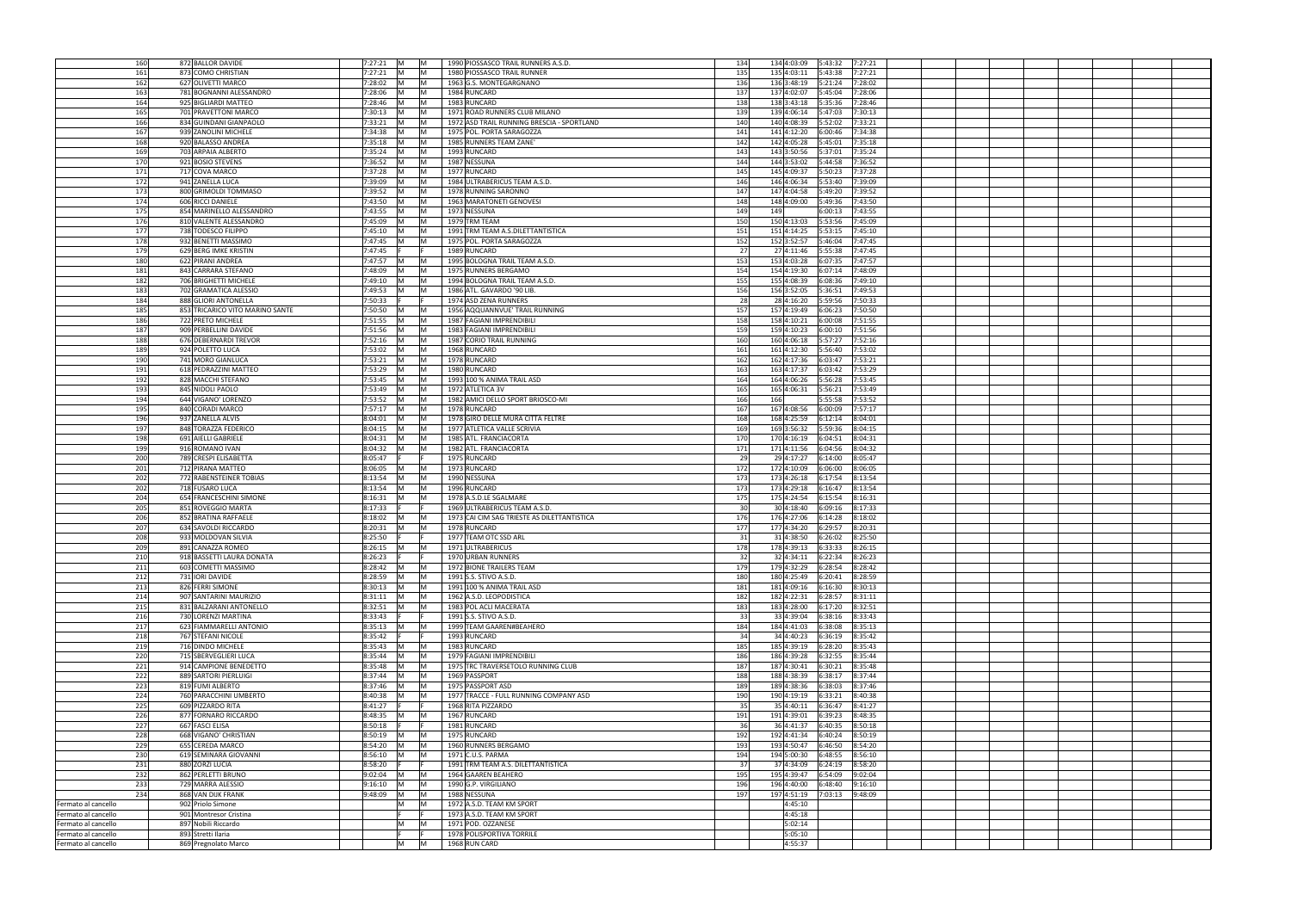| 160                 | 872 BALLOR DAVIDE               | 7:27:21      | IM.<br>IM.             | 1990 PIOSSASCO TRAIL RUNNERS A.S.D.         | 134             |     |                        | 7:27:21 |  |  |
|---------------------|---------------------------------|--------------|------------------------|---------------------------------------------|-----------------|-----|------------------------|---------|--|--|
| 161                 | 873 COMO CHRISTIAN              | 7:27:21      | M<br>-IM               | 1980 PIOSSASCO TRAIL RUNNER                 | 135             |     | 135 4:03:11 5:43:38    | 7:27:21 |  |  |
| 162                 | 627 OLIVETTI MARCO              | 7:28:02      | M<br>ΙM                | 1963 G.S. MONTEGARGNANO                     | 136             |     | 136 3:48:19 5:21:24    | 7:28:02 |  |  |
| 163                 |                                 | 7:28:06      | M                      | 1984 RUNCARD                                | 137             |     |                        |         |  |  |
|                     | 781 BOGNANNI ALESSANDRO         |              | M                      |                                             |                 |     | 137 4:02:07 5:45:04    | 7:28:06 |  |  |
| 164                 | 925 BIGLIARDI MATTEO            | 7:28:46      | M<br> M                | 1983 RUNCARD                                | 138             |     | 138 3:43:18 5:35:36    | 7:28:46 |  |  |
| 165                 | 701 PRAVETTONI MARCO            | 7:30:13      | M<br>IM.               | 1971 ROAD RUNNERS CLUB MILANO               | 139             |     | 139 4:06:14<br>5:47:03 | 7:30:13 |  |  |
| 166                 | 834 GUINDANI GIANPAOLO          | 7:33:21      | M<br>IM.               | 1972 ASD TRAIL RUNNING BRESCIA - SPORTLAND  | 140             |     | 140 4:08:39 5:52:02    | 7:33:21 |  |  |
| 167                 | 939 ZANOLINI MICHELE            | 7:34:38      | M<br>IM.               | 1975 POL. PORTA SARAGOZZA                   | 141             |     | 141 4:12:20<br>6:00:46 | 7:34:38 |  |  |
| 168                 | 920 BALASSO ANDREA              | 7:35:18      | IM.<br>IM.             | 1985 RUNNERS TEAM ZANE'                     | 142             |     | 142 4:05:28 5:45:01    | 7:35:18 |  |  |
| 169                 | 703 ARPAIA ALBERTO              | 7:35:24      | <b>IM</b><br><b>IM</b> | 1993 RUNCARD                                | 143             |     | 143 3:50:56 5:37:01    | 7:35:24 |  |  |
| 170                 | 921 BOSIO STEVENS               | 7:36:52      | IM.<br>IM.             | 1987 NESSUNA                                | 144             |     | 144 3:53:02<br>5:44:58 | 7:36:52 |  |  |
| 171                 | 717 COVA MARCO                  | 7:37:28      | IM.<br>IM.             | 1977 RUNCARD                                | 145             |     | 145 4:09:37<br>5:50:23 | 7:37:28 |  |  |
| 172                 | 941 ZANELLA LUCA                | 7:39:09      | M                      | 1984 ULTRABERICUS TEAM A.S.D.               | 146             |     | 146 4:06:34<br>5:53:40 | 7:39:09 |  |  |
| 173                 | 800 GRIMOLDI TOMMASO            | 7:39:52      | IM.<br>IM              | 1978 RUNNING SARONNO                        | 147             |     | 147 4:04:58<br>5:49:20 | 7:39:52 |  |  |
| 174                 | 606 RICCI DANIELE               | 7:43:50      |                        |                                             | 148             |     | 148 4:09:00<br>5:49:36 | 7:43:50 |  |  |
|                     |                                 |              |                        | 1963 MARATONETI GENOVESI                    |                 |     |                        |         |  |  |
| 175                 | 854 MARINELLO ALESSANDRO        | 7:43:55      | IM.<br>IM              | 1973 NESSUNA                                | 149             | 149 | 6:00:13                | 7:43:55 |  |  |
| 176                 | 810 VALENTE ALESSANDRO          | 7:45:09      | M                      | 1979 TRM TEAM                               | 150             |     | 150 4:13:03<br>5:53:56 | 7:45:09 |  |  |
| 177                 | 738 TODESCO FILIPPO             | 7:45:10      | IM.                    | 1991 TRM TEAM A.S.DILETTANTISTICA           | 151             |     | 151 4:14:25<br>5:53:15 | 7:45:10 |  |  |
| 178                 | 932 BENETTI MASSIMO             | 7:47:45      | M<br>IM                | 1975 POL. PORTA SARAGOZZA                   | 152             |     | 152 3:52:57<br>5:46:04 | 7:47:45 |  |  |
| 179                 | 629 BERG IMKE KRISTIN           | 7:47:45      |                        | 1989 RUNCARD                                | 27              |     | 27 4:11:46<br>5:55:38  | 7:47:45 |  |  |
| 180                 | 622 PIRANI ANDREA               | 7:47:57      | IM.                    | 1995 BOLOGNA TRAIL TEAM A.S.D.              | 153             |     | 153 4:03:28<br>6:07:35 | 7:47:57 |  |  |
| 181                 | 843 CARRARA STEFANO             | 7:48:09      |                        | 1975 RUNNERS BERGAMO                        | 154             |     | 154 4:19:30<br>6:07:14 | 7:48:09 |  |  |
| 182                 | 706 BRIGHETTI MICHELE           | 7:49:10      | IM.                    | 1994 BOLOGNA TRAIL TEAM A.S.D.              | 155             |     | 155 4:08:39<br>6:08:36 | 7:49:10 |  |  |
| 183                 | 702 GRAMATICA ALESSIO           | 7:49:53      | IM                     | 1986 ATL. GAVARDO '90 LIB.                  | 156             |     | 156 3:52:05<br>5:36:51 | 7:49:53 |  |  |
| 184                 | 888 GLIORI ANTONELLA            | 7:50:33      |                        | 1974 ASD ZENA RUNNERS                       | 28              |     |                        | 7:50:33 |  |  |
| 185                 | 853 TRICARICO VITO MARINO SANTE | 7:50:50      |                        | 1956 AQQUANNVUE' TRAIL RUNNING              | 157             |     | 157 4:19:49<br>6:06:23 | 7:50:50 |  |  |
| 186                 | 722 PRETO MICHELE               | 7:51:55      | IM.<br>IM.             |                                             | 158             |     | 158 4:10:21 6:00:08    | 7:51:55 |  |  |
|                     |                                 |              |                        | 1987 FAGIANI IMPRENDIBILI                   |                 |     |                        |         |  |  |
| 187                 | 909 PERBELLINI DAVIDE           | 7:51:56      | IM.<br>IM.             | 1983 FAGIANI IMPRENDIBILI                   | 159             |     | 159 4:10:23 6:00:10    | 7:51:56 |  |  |
| 188                 | 676 DEBERNARDI TREVOR           | 7:52:16      | M<br>IM.               | 1987 CORIO TRAIL RUNNING                    | 160             |     | 160 4:06:18 5:57:27    | 7:52:16 |  |  |
| 189                 | 924 POLETTO LUCA                | 7:53:02      | IM.<br>ΙM              | 1968 RUNCARD                                | 161             |     | 161 4:12:30<br>5:56:40 | 7:53:02 |  |  |
| 190                 | 741 MORO GIANLUCA               | 7:53:21      | M<br>M                 | 1978 RUNCARD                                | 162             |     | 162 4:17:36 6:03:47    | 7:53:21 |  |  |
| 191                 | 618 PEDRAZZINI MATTEO           | 7:53:29      | M<br>IM.               | 1980 RUNCARD                                | 163             |     | 163 4:17:37 6:03:42    | 7:53:29 |  |  |
| 192                 | 828 MACCHI STEFANO              | 7:53:45      | M<br><b>M</b>          | 1993 100 % ANIMA TRAIL ASD                  | 164             |     | 164 4:06:26 5:56:28    | 7:53:45 |  |  |
| 193                 | 845 NIDOLI PAOLO                | 7:53:49      | IM.<br> M              | 1972 ATLETICA 3V                            | 165             |     | 165 4:06:31<br>5:56:21 | 7:53:49 |  |  |
| 194                 | 644 VIGANO' LORENZO             | 7:53:52      | M<br><b>IM</b>         | 1982 AMICI DELLO SPORT BRIOSCO-MI           | 166             | 166 | 5:55:58                | 7:53:52 |  |  |
| 195                 | 840 CORADI MARCO                | 7:57:17      | M<br>IM.               | 1978 RUNCARD                                | 167             |     | 167 4:08:56<br>6:00:09 | 7:57:17 |  |  |
| 196                 |                                 | 8:04:01      | lM.<br>IM.             | 1978 GIRO DELLE MURA CITTA FELTRE           | 168             |     | 168 4:25:59<br>6:12:14 | 8:04:01 |  |  |
|                     | 937 ZANELLA ALVIS               |              |                        |                                             |                 |     |                        |         |  |  |
| 197                 | 848 TORAZZA FEDERICO            | 8:04:15      | IM.                    | 1977 ATLETICA VALLE SCRIVIA                 | 169             |     | 169 3:56:32<br>5:59:36 | 8:04:15 |  |  |
| 198                 | 691 AIELLI GABRIELE             | 8:04:31      | IM.                    | 1985 ATL. FRANCIACORTA                      | 170             |     | 170 4:16:19<br>6:04:51 | 8:04:31 |  |  |
| 199                 | 916 ROMANO IVAN                 | 8:04:32      |                        | 1982 ATL. FRANCIACORTA                      | 171             |     | 171 4:11:56<br>6:04:56 | 8:04:32 |  |  |
| 200                 | 789 CRESPI ELISABETTA           | 8:05:47      |                        | 1975 RUNCARD                                | 29              |     | 29 4:17:27<br>6:14:00  | 8:05:47 |  |  |
| 201                 | 712 PIRANA MATTEO               | 8:06:05      | ΙM                     | 1973 RUNCARD                                | 172             |     | 172 4:10:09<br>6:06:00 | 8:06:05 |  |  |
| 202                 | 772 RABENSTEINER TOBIAS         | 8:13:54      | IM                     | 1990 NESSUNA                                | 173             |     | 173 4:26:18<br>6:17:54 | 8:13:54 |  |  |
| 202                 | 718 FUSARO LUCA                 | 8:13:54      | M                      | 1996 RUNCARD                                | 173             |     | 173 4:29:18 6:16:47    | 8:13:54 |  |  |
| 204                 | 654 FRANCESCHINI SIMONE         | 8:16:31      | M<br>IM                | 1978 A.S.D.LE SGALMARE                      | 175             |     | 175 4:24:54<br>6:15:54 | 8:16:31 |  |  |
| 205                 | 851 ROVEGGIO MARTA              | 8:17:33      |                        | 1969 ULTRABERICUS TEAM A.S.D.               | 30 <sup>1</sup> |     | 30 4:18:40 6:09:16     | 8:17:33 |  |  |
| 206                 |                                 | 8:18:02      |                        |                                             | 176             |     |                        | 8:18:02 |  |  |
|                     | 852 BRATINA RAFFAELE            |              |                        | 1973 CAI CIM SAG TRIESTE AS DILETTANTISTICA | 177             |     | 176 4:27:06 6:14:28    |         |  |  |
| 207                 | 634 SAVOLDI RICCARDO            | 8:20:31      | IM.                    | 1978 RUNCARD                                |                 |     | 177 4:34:20 6:29:57    | 8:20:31 |  |  |
| 208                 | 933 MOLDOVAN SILVIA             | 8:25:50      |                        | 1977 TEAM OTC SSD ARL                       | 31              |     | 31 4:38:50<br>6:26:02  | 8:25:50 |  |  |
| 209                 | 891 CANAZZA ROMEO               | 8:26:15<br>M |                        | 1971 ULTRABERICUS                           | 178             |     | 178 4:39:13 6:33:33    | 8:26:15 |  |  |
| 210                 | 918 BASSETTI LAURA DONATA       | 8:26:23      |                        | 1970 URBAN RUNNERS                          | 32              |     | 32 4:34:11 6:22:34     | 8:26:23 |  |  |
| 211                 | 603 COMETTI MASSIMO             | 8:28:42      | M                      | 1972 BIONE TRAILERS TEAM                    | 179             |     | 179 4:32:29 6:28:54    | 8:28:42 |  |  |
| 212                 | 731 IORI DAVIDE                 | 8:28:59      | M<br><b>M</b>          | 1991 S.S. STIVO A.S.D.                      | 180             |     | 180 4:25:49 6:20:41    | 8:28:59 |  |  |
| 213                 | 826 FERRI SIMONE                | 8:30:13      | M<br>IM.               | 1991 100 % ANIMA TRAIL ASD                  | 181             |     | 181 4:09:16 6:16:30    | 8:30:13 |  |  |
| 214                 | 907 SANTARINI MAURIZIO          | 8:31:11      | IM.<br>IM.             | 1962 A.S.D. LEOPODISTICA                    | 182             |     | 182 4:22:31 6:28:57    | 8:31:11 |  |  |
| 215                 | 831 BALZARANI ANTONELLO         | 8:32:51      | M<br><b>M</b>          | 1983 POL ACLI MACERATA                      | 183             |     | 183 4:28:00 6:17:20    | 8:32:51 |  |  |
| 216                 | 730 LORENZI MARTINA             | 8:33:43      |                        | 1991 S.S. STIVO A.S.D.                      | 33              |     | 33 4:39:04 6:38:16     | 8:33:43 |  |  |
| 217                 | 623 FIAMMARELLI ANTONIO         | 8:35:13      | <b>IM</b><br>IM.       | 1999 TEAM GAAREN#BEAHERO                    | 184             |     | 184 4:41:03<br>6:38:08 | 8:35:13 |  |  |
| 218                 | 767 STEFANI NICOLE              | 8:35:42      |                        | 1993 RUNCARD                                | 34              |     | 34 4:40:23 6:36:19     | 8:35:42 |  |  |
| 219                 | 716 DINDO MICHELE               | 8:35:43      | IM.<br>IM.             | 1983 RUNCARD                                | 185             |     | 185 4:39:19 6:28:20    | 8:35:43 |  |  |
|                     |                                 |              |                        | 1979 FAGIANI IMPRENDIBILI                   |                 |     | 186 4:39:28            |         |  |  |
| 220                 | 715 SBERVEGLIERI LUCA           | 8:35:44      |                        |                                             | 186             |     | 6:32:55                | 8:35:44 |  |  |
| 221                 | 914 CAMPIONE BENEDETTO          | 8:35:48      | IM.<br>IM.             | 1975 TRC TRAVERSETOLO RUNNING CLUB          | 187             |     | 187 4:30:41<br>6:30:21 | 8:35:48 |  |  |
| 222                 | 889 SARTORI PIERLUIGI           | 8:37:44      | IM.<br>IM              | 1969 PASSPORT                               | 188             |     | 188 4:38:39<br>6:38:17 | 8:37:44 |  |  |
| 223                 | 819 FUMI ALBERTO                | 8:37:46      | ΙM                     | 1975 PASSPORT ASD                           | 189             |     | 189 4:38:36<br>6:38:03 | 8:37:46 |  |  |
| 224                 | 760 PARACCHINI UMBERTO          | 8:40:38      | IM.                    | 1977 TRACCE - FULL RUNNING COMPANY ASD      | 190             |     | 190 4:19:19<br>6:33:21 | 8:40:38 |  |  |
| 225                 | 609 PIZZARDO RITA               | 8:41:27      |                        | 1968 RITA PIZZARDO                          | 35              |     | 35 4:40:11<br>6:36:47  | 8:41:27 |  |  |
| 226                 | 877 FORNARO RICCARDO            | 8:48:35      | IM.                    | 1967 RUNCARD                                | 191             |     | 191 4:39:01<br>6:39:23 | 8:48:35 |  |  |
| 227                 | 667 FASCI ELISA                 | 8:50:18      |                        | 1981 RUNCARD                                | 36              |     | 36 4:41:37<br>6:40:35  | 8:50:18 |  |  |
| 228                 | 668 VIGANO' CHRISTIAN           | 8:50:19      | M                      | 1975 RUNCARD                                | 192             |     | 192 4:41:34<br>6:40:24 | 8:50:19 |  |  |
| 229                 | 655 CEREDA MARCO                | 8:54:20      | IM.<br>IM              | 1960 RUNNERS BERGAMO                        | 193             |     | 193 4:50:47<br>6:46:50 | 8:54:20 |  |  |
| 230                 | 619 SEMINARA GIOVANNI           | 8:56:10      | IM.<br>IM.             | 1971 C.U.S. PARMA                           | 194             |     | 194 5:00:30<br>6:48:55 | 8:56:10 |  |  |
| 231                 | 880 ZORZI LUCIA                 | 8:58:20      |                        | 1991 TRM TEAM A.S. DILETTANTISTICA          | 37              |     | 37 4:34:09<br>6:24:19  | 8:58:20 |  |  |
| 232                 | 862 PERLETTI BRUNO              | 9:02:04      | IM.                    | 1964 GAAREN BEAHERO                         | 195             |     | 195 4:39:47<br>6:54:09 | 9:02:04 |  |  |
|                     |                                 |              | IM.                    |                                             |                 |     |                        |         |  |  |
| 233                 | 729 MARRA ALESSIO               | 9:16:10      | IM.                    | 1990 G.P. VIRGILIANO                        | 196             |     | 196 4:40:00<br>6:48:40 | 9:16:10 |  |  |
| 234                 | 868 VAN DIJK FRANK              | 9:48:09      | IM.<br>IM.             | 1988 NESSUNA                                | 197             |     | 197 4:51:19<br>7:03:13 | 9:48:09 |  |  |
| Fermato al cancello | 902 Priolo Simone               |              | M<br>IM                | 1972 A.S.D. TEAM KM SPORT                   |                 |     | 4:45:10                |         |  |  |
| Fermato al cancello | 901 Montresor Cristina          |              |                        | 1973 A.S.D. TEAM KM SPORT                   |                 |     | 4:45:18                |         |  |  |
| Fermato al cancello | 897 Nobili Riccardo             |              | M<br>IM.               | 1971 POD. OZZANESE                          |                 |     | 5:02:14                |         |  |  |
| Fermato al cancello | 893 Stretti Ilaria              |              |                        | 1978 POLISPORTIVA TORRILE                   |                 |     | 5:05:10                |         |  |  |
| Fermato al cancello | 869 Pregnolato Marco            |              | lM l<br>M              | 1968 RUN CARD                               |                 |     | 4:55:37                |         |  |  |
|                     |                                 |              |                        |                                             |                 |     |                        |         |  |  |